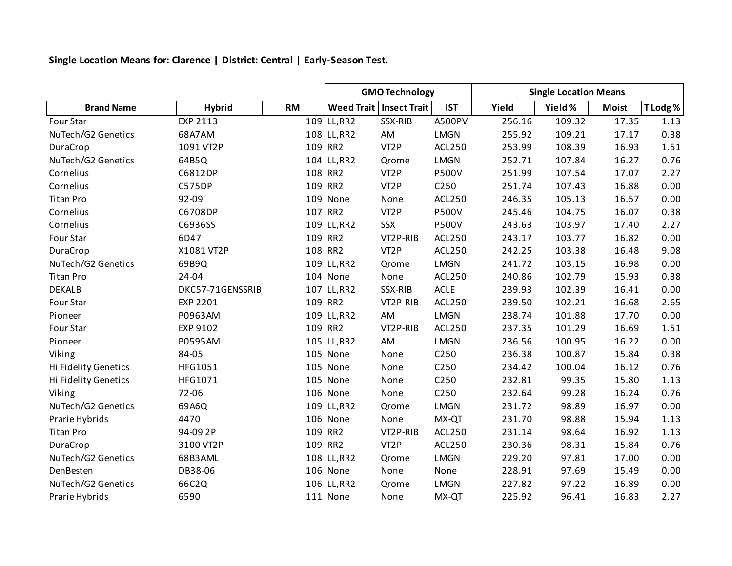**Single Location Means for: Clarence | District: Central | Early-Season Test.**

|                      |                  |           | <b>GMO Technology</b> |                           |                  | <b>Single Location Means</b> |         |              |          |
|----------------------|------------------|-----------|-----------------------|---------------------------|------------------|------------------------------|---------|--------------|----------|
| <b>Brand Name</b>    | <b>Hybrid</b>    | <b>RM</b> |                       | Weed Trait   Insect Trait | <b>IST</b>       | Yield                        | Yield % | <b>Moist</b> | T Lodg % |
| Four Star            | EXP 2113         |           | 109 LL, RR2           | SSX-RIB                   | A500PV           | 256.16                       | 109.32  | 17.35        | 1.13     |
| NuTech/G2 Genetics   | 68A7AM           |           | 108 LL, RR2           | AM                        | <b>LMGN</b>      | 255.92                       | 109.21  | 17.17        | 0.38     |
| DuraCrop             | 1091 VT2P        |           | 109 RR2               | VT <sub>2</sub> P         | <b>ACL250</b>    | 253.99                       | 108.39  | 16.93        | 1.51     |
| NuTech/G2 Genetics   | 64B5Q            |           | 104 LL, RR2           | Qrome                     | <b>LMGN</b>      | 252.71                       | 107.84  | 16.27        | 0.76     |
| Cornelius            | C6812DP          |           | 108 RR2               | VT <sub>2</sub> P         | <b>P500V</b>     | 251.99                       | 107.54  | 17.07        | 2.27     |
| Cornelius            | <b>C575DP</b>    |           | 109 RR2               | VT <sub>2</sub> P         | C250             | 251.74                       | 107.43  | 16.88        | 0.00     |
| <b>Titan Pro</b>     | 92-09            |           | 109 None              | None                      | <b>ACL250</b>    | 246.35                       | 105.13  | 16.57        | 0.00     |
| Cornelius            | C6708DP          |           | 107 RR2               | VT <sub>2</sub> P         | <b>P500V</b>     | 245.46                       | 104.75  | 16.07        | 0.38     |
| Cornelius            | C6936SS          |           | 109 LL, RR2           | SSX                       | <b>P500V</b>     | 243.63                       | 103.97  | 17.40        | 2.27     |
| Four Star            | 6D47             |           | 109 RR2               | VT2P-RIB                  | <b>ACL250</b>    | 243.17                       | 103.77  | 16.82        | 0.00     |
| DuraCrop             | X1081 VT2P       |           | 108 RR2               | VT <sub>2</sub> P         | <b>ACL250</b>    | 242.25                       | 103.38  | 16.48        | 9.08     |
| NuTech/G2 Genetics   | 69B9Q            |           | 109 LL, RR2           | Qrome                     | <b>LMGN</b>      | 241.72                       | 103.15  | 16.98        | 0.00     |
| <b>Titan Pro</b>     | 24-04            |           | 104 None              | None                      | <b>ACL250</b>    | 240.86                       | 102.79  | 15.93        | 0.38     |
| <b>DEKALB</b>        | DKC57-71GENSSRIB |           | 107 LL, RR2           | SSX-RIB                   | <b>ACLE</b>      | 239.93                       | 102.39  | 16.41        | 0.00     |
| Four Star            | EXP 2201         |           | 109 RR2               | VT2P-RIB                  | <b>ACL250</b>    | 239.50                       | 102.21  | 16.68        | 2.65     |
| Pioneer              | P0963AM          |           | 109 LL, RR2           | AM                        | <b>LMGN</b>      | 238.74                       | 101.88  | 17.70        | 0.00     |
| Four Star            | EXP 9102         |           | 109 RR2               | VT2P-RIB                  | <b>ACL250</b>    | 237.35                       | 101.29  | 16.69        | 1.51     |
| Pioneer              | P0595AM          |           | 105 LL, RR2           | AM                        | <b>LMGN</b>      | 236.56                       | 100.95  | 16.22        | 0.00     |
| Viking               | 84-05            |           | 105 None              | None                      | C250             | 236.38                       | 100.87  | 15.84        | 0.38     |
| Hi Fidelity Genetics | HFG1051          |           | 105 None              | None                      | C250             | 234.42                       | 100.04  | 16.12        | 0.76     |
| Hi Fidelity Genetics | HFG1071          |           | 105 None              | None                      | C <sub>250</sub> | 232.81                       | 99.35   | 15.80        | 1.13     |
| Viking               | 72-06            |           | 106 None              | None                      | C250             | 232.64                       | 99.28   | 16.24        | 0.76     |
| NuTech/G2 Genetics   | 69A6Q            |           | 109 LL, RR2           | Qrome                     | <b>LMGN</b>      | 231.72                       | 98.89   | 16.97        | 0.00     |
| Prarie Hybrids       | 4470             |           | 106 None              | None                      | MX-QT            | 231.70                       | 98.88   | 15.94        | 1.13     |
| <b>Titan Pro</b>     | 94-09 2P         |           | 109 RR2               | VT2P-RIB                  | <b>ACL250</b>    | 231.14                       | 98.64   | 16.92        | 1.13     |
| DuraCrop             | 3100 VT2P        |           | 109 RR2               | VT <sub>2</sub> P         | <b>ACL250</b>    | 230.36                       | 98.31   | 15.84        | 0.76     |
| NuTech/G2 Genetics   | 68B3AML          |           | 108 LL, RR2           | Qrome                     | <b>LMGN</b>      | 229.20                       | 97.81   | 17.00        | 0.00     |
| DenBesten            | DB38-06          |           | 106 None              | None                      | None             | 228.91                       | 97.69   | 15.49        | 0.00     |
| NuTech/G2 Genetics   | 66C2Q            |           | 106 LL, RR2           | Qrome                     | <b>LMGN</b>      | 227.82                       | 97.22   | 16.89        | 0.00     |
| Prarie Hybrids       | 6590             |           | 111 None              | None                      | MX-QT            | 225.92                       | 96.41   | 16.83        | 2.27     |